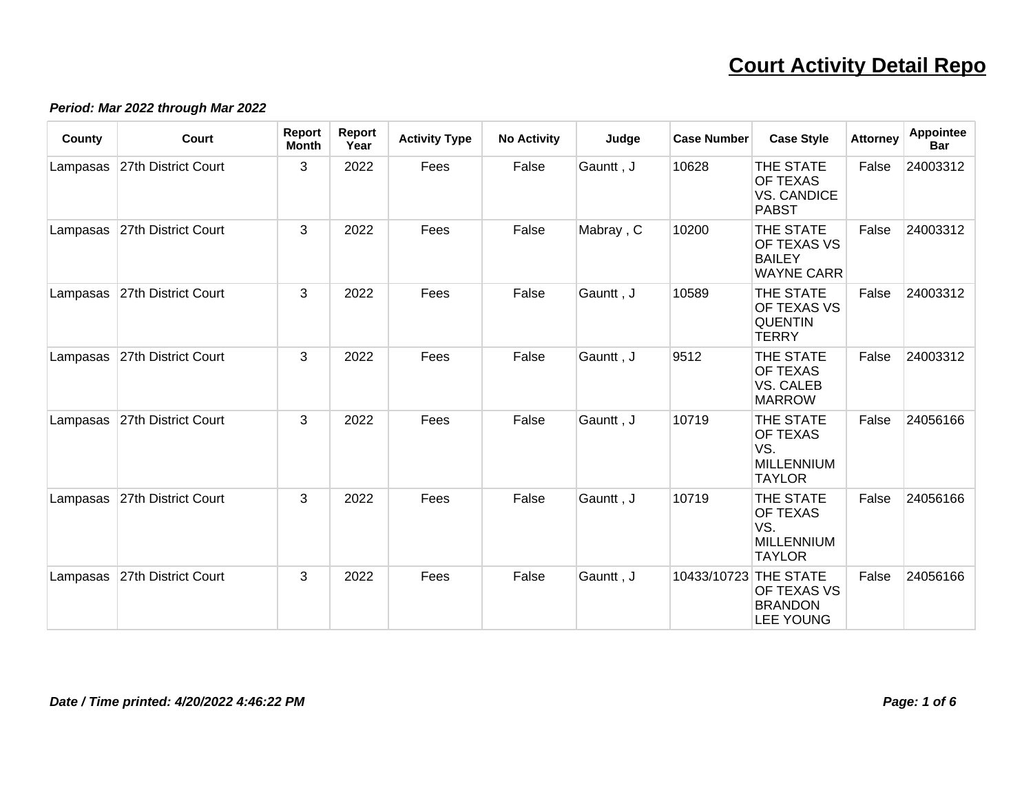#### **Period: Mar 2022 through Mar 2022**

| County   | <b>Court</b>                 | Report<br><b>Month</b> | Report<br>Year | <b>Activity Type</b> | <b>No Activity</b> | Judge     | <b>Case Number</b>    | <b>Case Style</b>                                                         | <b>Attorney</b> | Appointee<br><b>Bar</b> |
|----------|------------------------------|------------------------|----------------|----------------------|--------------------|-----------|-----------------------|---------------------------------------------------------------------------|-----------------|-------------------------|
| Lampasas | 27th District Court          | 3                      | 2022           | Fees                 | False              | Gauntt, J | 10628                 | THE STATE<br>OF TEXAS<br><b>VS. CANDICE</b><br><b>PABST</b>               | False           | 24003312                |
| Lampasas | 27th District Court          | 3                      | 2022           | Fees                 | False              | Mabray, C | 10200                 | THE STATE<br><b>OF TEXAS VS</b><br><b>BAILEY</b><br><b>WAYNE CARR</b>     | False           | 24003312                |
|          | Lampasas 27th District Court | 3                      | 2022           | Fees                 | False              | Gauntt, J | 10589                 | THE STATE<br><b>OF TEXAS VS</b><br><b>QUENTIN</b><br><b>TERRY</b>         | False           | 24003312                |
| Lampasas | 27th District Court          | $\mathbf{3}$           | 2022           | Fees                 | False              | Gauntt, J | 9512                  | THE STATE<br>OF TEXAS<br><b>VS. CALEB</b><br><b>MARROW</b>                | False           | 24003312                |
| Lampasas | 27th District Court          | 3                      | 2022           | Fees                 | False              | Gauntt, J | 10719                 | THE STATE<br><b>OF TEXAS</b><br>VS.<br><b>MILLENNIUM</b><br><b>TAYLOR</b> | False           | 24056166                |
| Lampasas | 27th District Court          | 3                      | 2022           | Fees                 | False              | Gauntt, J | 10719                 | THE STATE<br><b>OF TEXAS</b><br>VS.<br><b>MILLENNIUM</b><br><b>TAYLOR</b> | False           | 24056166                |
| Lampasas | 27th District Court          | 3                      | 2022           | Fees                 | False              | Gauntt, J | 10433/10723 THE STATE | <b>OF TEXAS VS</b><br><b>BRANDON</b><br><b>LEE YOUNG</b>                  | False           | 24056166                |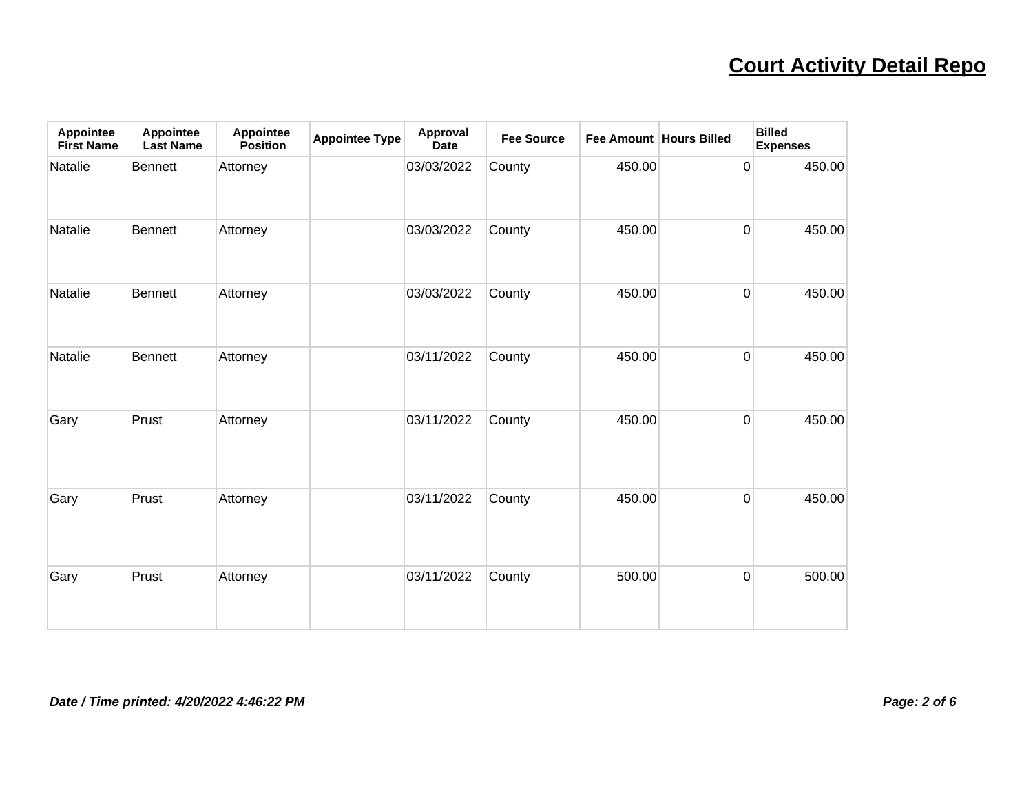| <b>Appointee</b><br><b>First Name</b> | <b>Appointee</b><br><b>Last Name</b> | Appointee<br><b>Position</b> | <b>Appointee Type</b> | Approval<br><b>Date</b> | <b>Fee Source</b> | Fee Amount Hours Billed |                | <b>Billed</b><br><b>Expenses</b> |
|---------------------------------------|--------------------------------------|------------------------------|-----------------------|-------------------------|-------------------|-------------------------|----------------|----------------------------------|
| Natalie                               | <b>Bennett</b>                       | Attorney                     |                       | 03/03/2022              | County            | 450.00                  | $\overline{0}$ | 450.00                           |
| Natalie                               | <b>Bennett</b>                       | Attorney                     |                       | 03/03/2022              | County            | 450.00                  | $\overline{0}$ | 450.00                           |
| Natalie                               | <b>Bennett</b>                       | Attorney                     |                       | 03/03/2022              | County            | 450.00                  | $\overline{0}$ | 450.00                           |
| Natalie                               | <b>Bennett</b>                       | Attorney                     |                       | 03/11/2022              | County            | 450.00                  | $\overline{0}$ | 450.00                           |
| Gary                                  | Prust                                | Attorney                     |                       | 03/11/2022              | County            | 450.00                  | $\overline{0}$ | 450.00                           |
| Gary                                  | Prust                                | Attorney                     |                       | 03/11/2022              | County            | 450.00                  | $\overline{0}$ | 450.00                           |
| Gary                                  | Prust                                | Attorney                     |                       | 03/11/2022              | County            | 500.00                  | $\overline{0}$ | 500.00                           |

#### **Date / Time printed: 4/20/2022 4:46:22 PM Page: 2 of 6**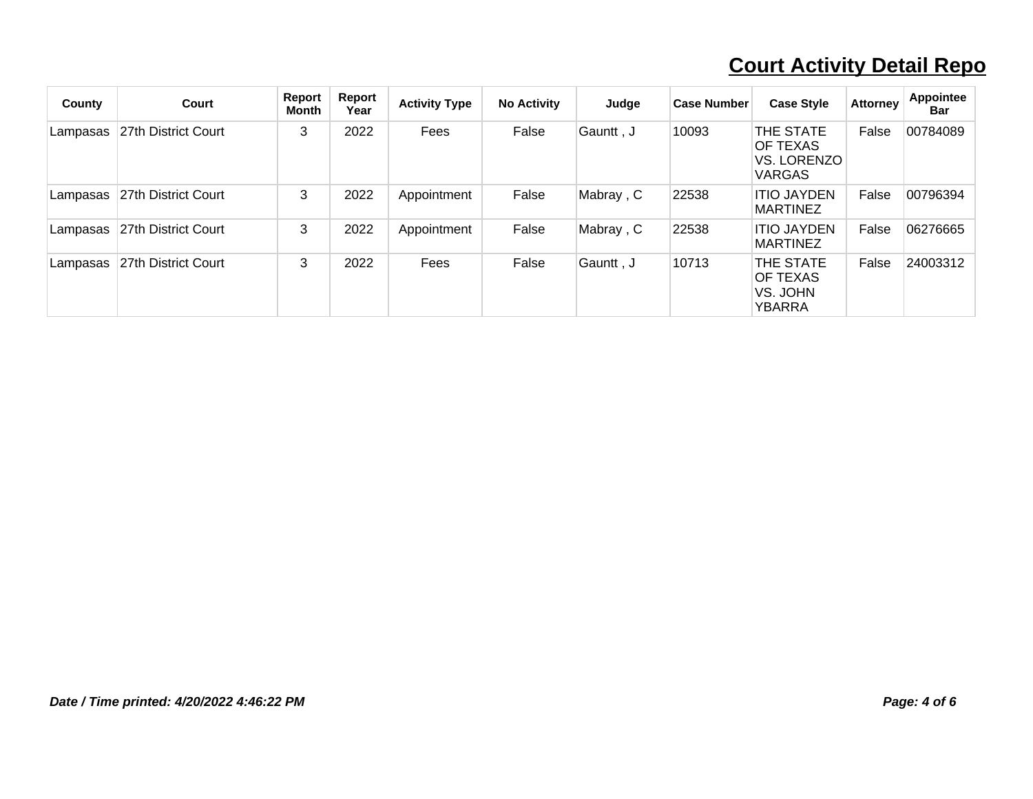| County   | Court               | Report<br>Month | Report<br>Year | <b>Activity Type</b> | <b>No Activity</b> | Judge      | <b>Case Number</b> | <b>Case Style</b>                                            | <b>Attorney</b> | <b>Appointee</b><br><b>Bar</b> |
|----------|---------------------|-----------------|----------------|----------------------|--------------------|------------|--------------------|--------------------------------------------------------------|-----------------|--------------------------------|
| Lampasas | 27th District Court | 3               | 2022           | Fees                 | False              | Gauntt, J  | 10093              | THE STATE<br><b>OF TEXAS</b><br>VS. LORENZO<br><b>VARGAS</b> | False           | 00784089                       |
| Lampasas | 27th District Court | 3               | 2022           | Appointment          | False              | Mabray, C  | 22538              | <b>ITIO JAYDEN</b><br><b>MARTINEZ</b>                        | False           | 00796394                       |
| Lampasas | 27th District Court | 3               | 2022           | Appointment          | False              | Mabray , C | 22538              | <b>ITIO JAYDEN</b><br><b>MARTINEZ</b>                        | False           | 06276665                       |
| Lampasas | 27th District Court | 3               | 2022           | Fees                 | False              | Gauntt , J | 10713              | THE STATE<br><b>OF TEXAS</b><br>VS. JOHN<br>YBARRA           | False           | 24003312                       |